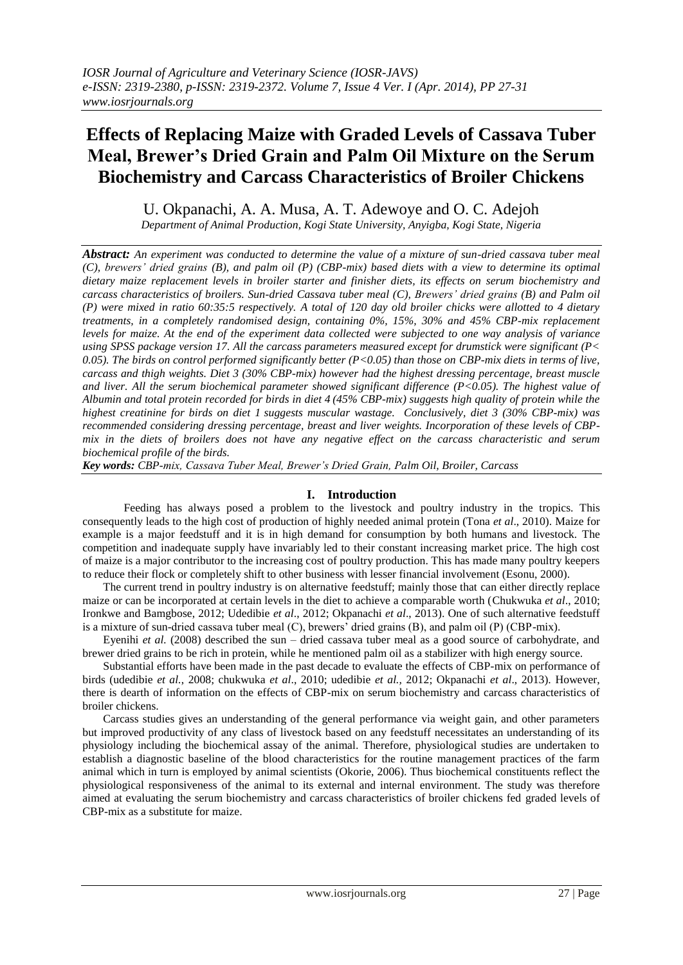# **Effects of Replacing Maize with Graded Levels of Cassava Tuber Meal, Brewer's Dried Grain and Palm Oil Mixture on the Serum Biochemistry and Carcass Characteristics of Broiler Chickens**

U. Okpanachi, A. A. Musa, A. T. Adewoye and O. C. Adejoh

*Department of Animal Production, Kogi State University, Anyigba, Kogi State, Nigeria*

*Abstract: An experiment was conducted to determine the value of a mixture of sun-dried cassava tuber meal (C), brewers' dried grains (B), and palm oil (P) (CBP-mix) based diets with a view to determine its optimal dietary maize replacement levels in broiler starter and finisher diets, its effects on serum biochemistry and carcass characteristics of broilers. Sun-dried Cassava tuber meal (C), Brewers' dried grains (B) and Palm oil (P) were mixed in ratio 60:35:5 respectively. A total of 120 day old broiler chicks were allotted to 4 dietary treatments, in a completely randomised design, containing 0%, 15%, 30% and 45% CBP-mix replacement levels for maize. At the end of the experiment data collected were subjected to one way analysis of variance using SPSS package version 17. All the carcass parameters measured except for drumstick were significant (P< 0.05). The birds on control performed significantly better (P<0.05) than those on CBP-mix diets in terms of live, carcass and thigh weights. Diet 3 (30% CBP-mix) however had the highest dressing percentage, breast muscle and liver. All the serum biochemical parameter showed significant difference (P<0.05). The highest value of Albumin and total protein recorded for birds in diet 4 (45% CBP-mix) suggests high quality of protein while the highest creatinine for birds on diet 1 suggests muscular wastage. Conclusively, diet 3 (30% CBP-mix) was recommended considering dressing percentage, breast and liver weights. Incorporation of these levels of CBPmix in the diets of broilers does not have any negative effect on the carcass characteristic and serum biochemical profile of the birds.*

*Key words: CBP-mix, Cassava Tuber Meal, Brewer's Dried Grain, Palm Oil, Broiler, Carcass*

# **I. Introduction**

Feeding has always posed a problem to the livestock and poultry industry in the tropics. This consequently leads to the high cost of production of highly needed animal protein (Tona *et al*., 2010). Maize for example is a major feedstuff and it is in high demand for consumption by both humans and livestock. The competition and inadequate supply have invariably led to their constant increasing market price. The high cost of maize is a major contributor to the increasing cost of poultry production. This has made many poultry keepers to reduce their flock or completely shift to other business with lesser financial involvement (Esonu, 2000).

The current trend in poultry industry is on alternative feedstuff; mainly those that can either directly replace maize or can be incorporated at certain levels in the diet to achieve a comparable worth (Chukwuka *et al*., 2010; Ironkwe and Bamgbose, 2012; Udedibie *et al*., 2012; Okpanachi *et al*., 2013). One of such alternative feedstuff is a mixture of sun-dried cassava tuber meal (C), brewers' dried grains (B), and palm oil (P) (CBP-mix).

Eyenihi *et al.* (2008) described the sun – dried cassava tuber meal as a good source of carbohydrate, and brewer dried grains to be rich in protein, while he mentioned palm oil as a stabilizer with high energy source.

Substantial efforts have been made in the past decade to evaluate the effects of CBP-mix on performance of birds (udedibie *et al.*, 2008; chukwuka *et al*., 2010; udedibie *et al.,* 2012; Okpanachi *et al*., 2013). However, there is dearth of information on the effects of CBP-mix on serum biochemistry and carcass characteristics of broiler chickens.

Carcass studies gives an understanding of the general performance via weight gain, and other parameters but improved productivity of any class of livestock based on any feedstuff necessitates an understanding of its physiology including the biochemical assay of the animal. Therefore, physiological studies are undertaken to establish a diagnostic baseline of the blood characteristics for the routine management practices of the farm animal which in turn is employed by animal scientists (Okorie, 2006). Thus biochemical constituents reflect the physiological responsiveness of the animal to its external and internal environment. The study was therefore aimed at evaluating the serum biochemistry and carcass characteristics of broiler chickens fed graded levels of CBP-mix as a substitute for maize.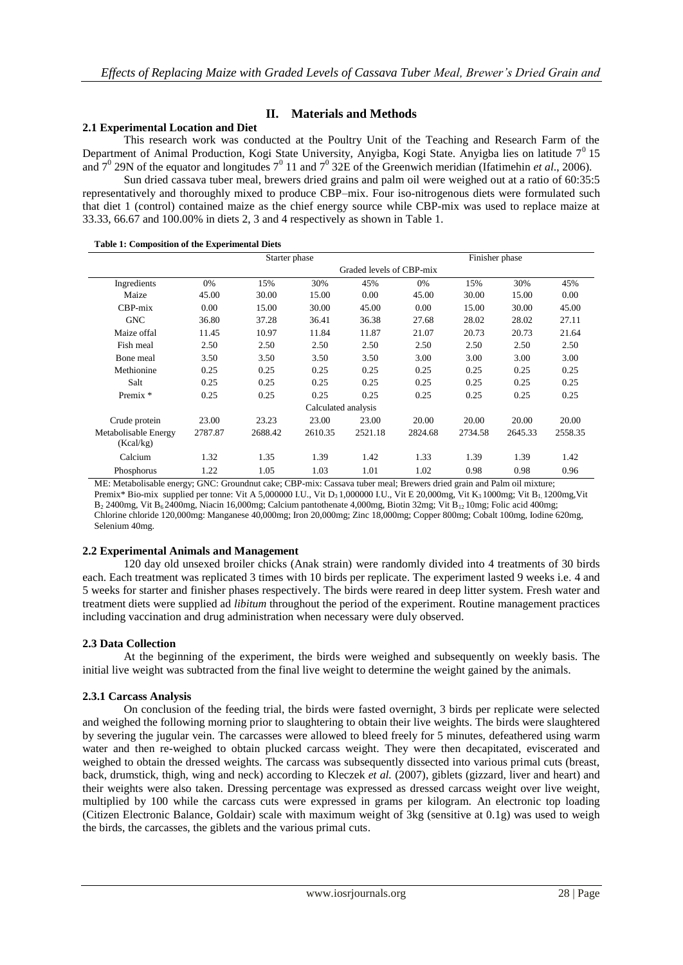# **II. Materials and Methods**

# **2.1 Experimental Location and Diet**

This research work was conducted at the Poultry Unit of the Teaching and Research Farm of the Department of Animal Production, Kogi State University, Anyigba, Kogi State. Anyigba lies on latitude  $7<sup>0</sup>15$ and  $7^0$  29N of the equator and longitudes  $7^0$  11 and  $7^0$  32E of the Greenwich meridian (Ifatimehin *et al.*, 2006).

Sun dried cassava tuber meal, brewers dried grains and palm oil were weighed out at a ratio of 60:35:5 representatively and thoroughly mixed to produce CBP–mix. Four iso-nitrogenous diets were formulated such that diet 1 (control) contained maize as the chief energy source while CBP-mix was used to replace maize at 33.33, 66.67 and 100.00% in diets 2, 3 and 4 respectively as shown in Table 1.

|  |  |  | Table 1: Composition of the Experimental Diets |
|--|--|--|------------------------------------------------|
|--|--|--|------------------------------------------------|

|                                   | Starter phase            |         |         | Finisher phase |         |         |         |         |
|-----------------------------------|--------------------------|---------|---------|----------------|---------|---------|---------|---------|
|                                   | Graded levels of CBP-mix |         |         |                |         |         |         |         |
| Ingredients                       | 0%                       | 15%     | 30%     | 45%            | 0%      | 15%     | 30%     | 45%     |
| Maize                             | 45.00                    | 30.00   | 15.00   | 0.00           | 45.00   | 30.00   | 15.00   | 0.00    |
| $CBP-mix$                         | 0.00                     | 15.00   | 30.00   | 45.00          | 0.00    | 15.00   | 30.00   | 45.00   |
| <b>GNC</b>                        | 36.80                    | 37.28   | 36.41   | 36.38          | 27.68   | 28.02   | 28.02   | 27.11   |
| Maize offal                       | 11.45                    | 10.97   | 11.84   | 11.87          | 21.07   | 20.73   | 20.73   | 21.64   |
| Fish meal                         | 2.50                     | 2.50    | 2.50    | 2.50           | 2.50    | 2.50    | 2.50    | 2.50    |
| Bone meal                         | 3.50                     | 3.50    | 3.50    | 3.50           | 3.00    | 3.00    | 3.00    | 3.00    |
| Methionine                        | 0.25                     | 0.25    | 0.25    | 0.25           | 0.25    | 0.25    | 0.25    | 0.25    |
| Salt                              | 0.25                     | 0.25    | 0.25    | 0.25           | 0.25    | 0.25    | 0.25    | 0.25    |
| Premix *                          | 0.25                     | 0.25    | 0.25    | 0.25           | 0.25    | 0.25    | 0.25    | 0.25    |
| Calculated analysis               |                          |         |         |                |         |         |         |         |
| Crude protein                     | 23.00                    | 23.23   | 23.00   | 23.00          | 20.00   | 20.00   | 20.00   | 20.00   |
| Metabolisable Energy<br>(Kcal/kg) | 2787.87                  | 2688.42 | 2610.35 | 2521.18        | 2824.68 | 2734.58 | 2645.33 | 2558.35 |
| Calcium                           | 1.32                     | 1.35    | 1.39    | 1.42           | 1.33    | 1.39    | 1.39    | 1.42    |
| Phosphorus                        | 1.22                     | 1.05    | 1.03    | 1.01           | 1.02    | 0.98    | 0.98    | 0.96    |

ME: Metabolisable energy; GNC: Groundnut cake; CBP-mix: Cassava tuber meal; Brewers dried grain and Palm oil mixture; Premix\* Bio-mix supplied per tonne: Vit A 5,000000 I.U., Vit D<sub>3</sub> 1,000000 I.U., Vit E 20,000mg, Vit K<sub>3</sub> 1000mg; Vit B<sub>1</sub> 1200mg,Vit B<sub>2</sub> 2400mg, Vit B<sub>6</sub> 2400mg, Niacin 16,000mg; Calcium pantothenate 4,000mg, Biotin 32mg; Vit B<sub>12</sub> 10mg; Folic acid 400mg; Chlorine chloride 120,000mg: Manganese 40,000mg; Iron 20,000mg; Zinc 18,000mg; Copper 800mg; Cobalt 100mg, Iodine 620mg, Selenium 40mg.

# **2.2 Experimental Animals and Management**

120 day old unsexed broiler chicks (Anak strain) were randomly divided into 4 treatments of 30 birds each. Each treatment was replicated 3 times with 10 birds per replicate. The experiment lasted 9 weeks i.e. 4 and 5 weeks for starter and finisher phases respectively. The birds were reared in deep litter system. Fresh water and treatment diets were supplied ad *libitum* throughout the period of the experiment. Routine management practices including vaccination and drug administration when necessary were duly observed.

# **2.3 Data Collection**

At the beginning of the experiment, the birds were weighed and subsequently on weekly basis. The initial live weight was subtracted from the final live weight to determine the weight gained by the animals.

#### **2.3.1 Carcass Analysis**

On conclusion of the feeding trial, the birds were fasted overnight, 3 birds per replicate were selected and weighed the following morning prior to slaughtering to obtain their live weights. The birds were slaughtered by severing the jugular vein. The carcasses were allowed to bleed freely for 5 minutes, defeathered using warm water and then re-weighed to obtain plucked carcass weight. They were then decapitated, eviscerated and weighed to obtain the dressed weights. The carcass was subsequently dissected into various primal cuts (breast, back, drumstick, thigh, wing and neck) according to Kleczek *et al.* (2007), giblets (gizzard, liver and heart) and their weights were also taken. Dressing percentage was expressed as dressed carcass weight over live weight, multiplied by 100 while the carcass cuts were expressed in grams per kilogram. An electronic top loading (Citizen Electronic Balance, Goldair) scale with maximum weight of 3kg (sensitive at 0.1g) was used to weigh the birds, the carcasses, the giblets and the various primal cuts.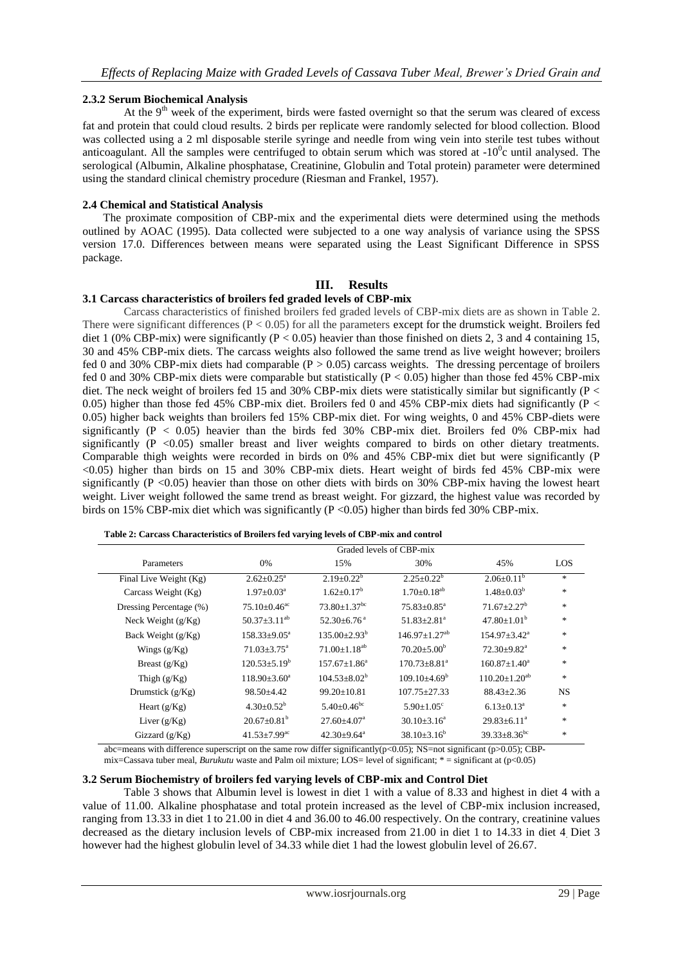# **2.3.2 Serum Biochemical Analysis**

At the  $9<sup>th</sup>$  week of the experiment, birds were fasted overnight so that the serum was cleared of excess fat and protein that could cloud results. 2 birds per replicate were randomly selected for blood collection. Blood was collected using a 2 ml disposable sterile syringe and needle from wing vein into sterile test tubes without anticoagulant. All the samples were centrifuged to obtain serum which was stored at  $-10<sup>0</sup>c$  until analysed. The serological (Albumin, Alkaline phosphatase, Creatinine, Globulin and Total protein) parameter were determined using the standard clinical chemistry procedure (Riesman and Frankel, 1957).

## **2.4 Chemical and Statistical Analysis**

The proximate composition of CBP-mix and the experimental diets were determined using the methods outlined by AOAC (1995). Data collected were subjected to a one way analysis of variance using the SPSS version 17.0. Differences between means were separated using the Least Significant Difference in SPSS package.

# **III. Results**

# **3.1 Carcass characteristics of broilers fed graded levels of CBP-mix**

Carcass characteristics of finished broilers fed graded levels of CBP-mix diets are as shown in Table 2. There were significant differences ( $P < 0.05$ ) for all the parameters except for the drumstick weight. Broilers fed diet 1 (0% CBP-mix) were significantly ( $P < 0.05$ ) heavier than those finished on diets 2, 3 and 4 containing 15, 30 and 45% CBP-mix diets. The carcass weights also followed the same trend as live weight however; broilers fed 0 and 30% CBP-mix diets had comparable  $(P > 0.05)$  carcass weights. The dressing percentage of broilers fed 0 and 30% CBP-mix diets were comparable but statistically (P < 0.05) higher than those fed 45% CBP-mix diet. The neck weight of broilers fed 15 and 30% CBP-mix diets were statistically similar but significantly (P < 0.05) higher than those fed 45% CBP-mix diet. Broilers fed 0 and 45% CBP-mix diets had significantly (P < 0.05) higher back weights than broilers fed 15% CBP-mix diet. For wing weights, 0 and 45% CBP-diets were significantly ( $P < 0.05$ ) heavier than the birds fed 30% CBP-mix diet. Broilers fed 0% CBP-mix had significantly (P <0.05) smaller breast and liver weights compared to birds on other dietary treatments. Comparable thigh weights were recorded in birds on 0% and 45% CBP-mix diet but were significantly (P <0.05) higher than birds on 15 and 30% CBP-mix diets. Heart weight of birds fed 45% CBP-mix were significantly (P <0.05) heavier than those on other diets with birds on 30% CBP-mix having the lowest heart weight. Liver weight followed the same trend as breast weight. For gizzard, the highest value was recorded by birds on 15% CBP-mix diet which was significantly (P <0.05) higher than birds fed 30% CBP-mix.

|                         | Graded levels of CBP-mix       |                                |                              |                           |            |  |  |
|-------------------------|--------------------------------|--------------------------------|------------------------------|---------------------------|------------|--|--|
| Parameters              | 0%                             | 15%                            | 30%                          | 45%                       | <b>LOS</b> |  |  |
| Final Live Weight (Kg)  | $2.62 \pm 0.25^{\text{a}}$     | $2.19 \pm 0.22^b$              | $2.25 \pm 0.22^b$            | $2.06 \pm 0.11^b$         | *.         |  |  |
| Carcass Weight (Kg)     | $1.97 \pm 0.03^{\text{a}}$     | $1.62 + 0.17^b$                | $1.70 + 0.18^{ab}$           | $1.48 \pm 0.03^b$         | *.         |  |  |
| Dressing Percentage (%) | $75.10\pm0.46^{\text{ac}}$     | $73.80 \pm 1.37$ <sup>bc</sup> | $75.83 \pm 0.85^{\text{a}}$  | $71.67 \pm 2.27^b$        | *.         |  |  |
| Neck Weight $(g/Kg)$    | $50.37 + 3.11^{ab}$            | $52.30 + 6.76$ <sup>a</sup>    | $51.83 + 2.81$ <sup>a</sup>  | $47.80 + 1.01b$           | *.         |  |  |
| Back Weight (g/Kg)      | $158.33 \pm 9.05^a$            | $135.00 \pm 2.93^b$            | $146.97+1.27^{ab}$           | $154.97 \pm 3.42^a$       | *.         |  |  |
| Wings $(g/Kg)$          | $71.03 + 3.75^{\circ}$         | $71.00 + 1.18^{ab}$            | $70.20 + 5.00^b$             | $72.30+9.82^a$            | *.         |  |  |
| Breast $(g/Kg)$         | $120.53 + 5.19^b$              | $157.67 + 1.86^a$              | $170.73 + 8.81a$             | $160.87 + 1.40^a$         | *.         |  |  |
| Thigh $(g/Kg)$          | $118.90 \pm 3.60^a$            | $104.53 + 8.02^b$              | $109.10 + 4.69^b$            | $110.20+1.20^{ab}$        | *.         |  |  |
| Drumstick $(g/Kg)$      | $98.50 + 4.42$                 | $99.20 + 10.81$                | $107.75 + 27.33$             | $88.43 \pm 2.36$          | <b>NS</b>  |  |  |
| Heart $(g/Kg)$          | $4.30 \pm 0.52^b$              | $5.40 + 0.46^{\circ}$          | $5.90 \pm 1.05$ <sup>c</sup> | $6.13 \pm 0.13^a$         | *.         |  |  |
| Liver $(g/Kg)$          | $20.67+0.81b$                  | $27.60 + 4.07$ <sup>a</sup>    | $30.10 + 3.16^a$             | $29.83 \pm 6.11^a$        | *.         |  |  |
| Gizzard $(g/Kg)$        | $41.53 \pm 7.99$ <sup>ac</sup> | $42.30 \pm 9.64$ <sup>a</sup>  | $38.10 + 3.16^b$             | $39.33 \pm 8.36^{\rm bc}$ | *.         |  |  |

abc=means with difference superscript on the same row differ significantly( $p$ <0.05); NS=not significant ( $p$ >0.05); CBPmix=Cassava tuber meal, *Burukutu* waste and Palm oil mixture; LOS= level of significant; \* = significant at (p<0.05)

#### **3.2 Serum Biochemistry of broilers fed varying levels of CBP-mix and Control Diet**

Table 3 shows that Albumin level is lowest in diet 1 with a value of 8.33 and highest in diet 4 with a value of 11.00. Alkaline phosphatase and total protein increased as the level of CBP-mix inclusion increased, ranging from 13.33 in diet 1 to 21.00 in diet 4 and 36.00 to 46.00 respectively. On the contrary, creatinine values decreased as the dietary inclusion levels of CBP-mix increased from 21.00 in diet 1 to 14.33 in diet 4. Diet 3 however had the highest globulin level of 34.33 while diet 1 had the lowest globulin level of 26.67.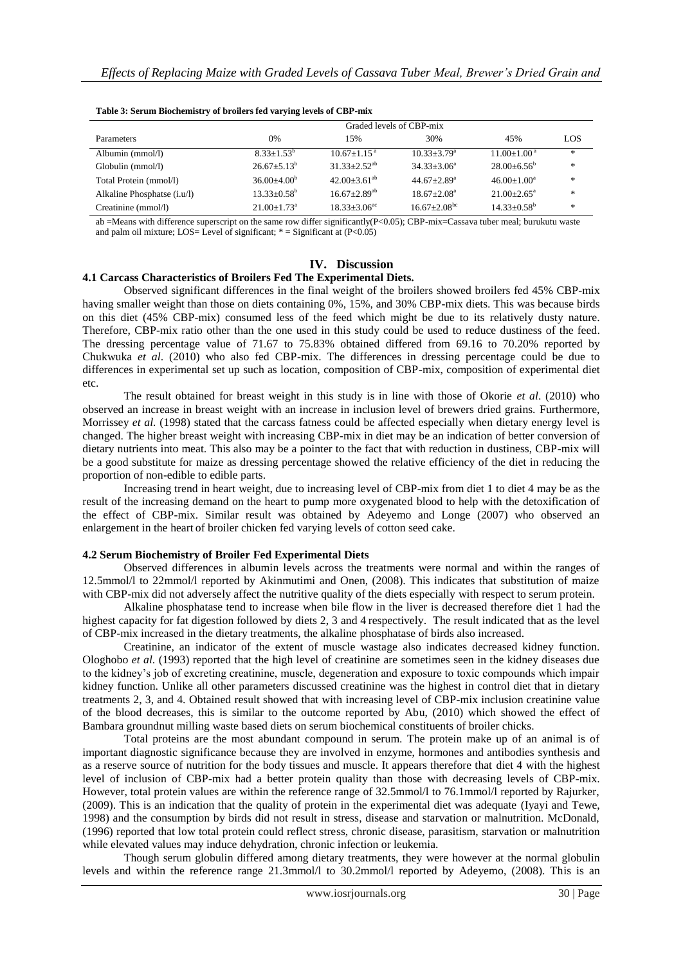|                             | Graded levels of CBP-mix |                              |                               |                               |               |  |
|-----------------------------|--------------------------|------------------------------|-------------------------------|-------------------------------|---------------|--|
| <b>Parameters</b>           | 0%                       | 15%                          | 30%                           | 45%                           | LOS           |  |
| Albumin (mmol/l)            | $8.33 + 1.53^b$          | $10.67 + 1.15$ <sup>a</sup>  | $10.33 + 3.79^a$              | $11.00 \pm 1.00$ <sup>a</sup> | $\ast$        |  |
| Globulin (mmol/l)           | $26.67 + 5.13^b$         | $31.33 + 2.52^{ab}$          | $34.33 + 3.06^a$              | $28.00 + 6.56^b$              | $\frac{1}{2}$ |  |
| Total Protein (mmol/l)      | $36.00 + 4.00b$          | $42.00+3.61^{ab}$            | $44.67 \pm 2.89$ <sup>a</sup> | $46.00+1.00^a$                | *             |  |
| Alkaline Phosphatse (i.u/l) | $13.33+0.58^{\rm b}$     | $16.67 + 2.89$ <sup>ab</sup> | $18.67 + 2.08a$               | $21.00 + 2.65^{\circ}$        | $\frac{1}{2}$ |  |
| Creatinine (mmol/l)         | $21.00+1.73^a$           | $18.33 + 3.06^{\text{ac}}$   | $16.67 + 2.08$ <sup>bc</sup>  | $14.33 \pm 0.58^{\rm b}$      | *             |  |

| Table 3: Serum Biochemistry of broilers fed varying levels of CBP-mix |  |  |
|-----------------------------------------------------------------------|--|--|
|                                                                       |  |  |

ab =Means with difference superscript on the same row differ significantly(P<0.05); CBP-mix=Cassava tuber meal; burukutu waste and palm oil mixture; LOS= Level of significant;  $* =$  Significant at (P<0.05)

# **IV. Discussion**

# **4.1 Carcass Characteristics of Broilers Fed The Experimental Diets.**

Observed significant differences in the final weight of the broilers showed broilers fed 45% CBP-mix having smaller weight than those on diets containing 0%, 15%, and 30% CBP-mix diets. This was because birds on this diet (45% CBP-mix) consumed less of the feed which might be due to its relatively dusty nature. Therefore, CBP-mix ratio other than the one used in this study could be used to reduce dustiness of the feed. The dressing percentage value of 71.67 to 75.83% obtained differed from 69.16 to 70.20% reported by Chukwuka *et al*. (2010) who also fed CBP-mix. The differences in dressing percentage could be due to differences in experimental set up such as location, composition of CBP-mix, composition of experimental diet etc.

The result obtained for breast weight in this study is in line with those of Okorie *et al*. (2010) who observed an increase in breast weight with an increase in inclusion level of brewers dried grains. Furthermore, Morrissey *et al.* (1998) stated that the carcass fatness could be affected especially when dietary energy level is changed. The higher breast weight with increasing CBP-mix in diet may be an indication of better conversion of dietary nutrients into meat. This also may be a pointer to the fact that with reduction in dustiness, CBP-mix will be a good substitute for maize as dressing percentage showed the relative efficiency of the diet in reducing the proportion of non-edible to edible parts.

Increasing trend in heart weight, due to increasing level of CBP-mix from diet 1 to diet 4 may be as the result of the increasing demand on the heart to pump more oxygenated blood to help with the detoxification of the effect of CBP-mix. Similar result was obtained by Adeyemo and Longe (2007) who observed an enlargement in the heart of broiler chicken fed varying levels of cotton seed cake.

#### **4.2 Serum Biochemistry of Broiler Fed Experimental Diets**

Observed differences in albumin levels across the treatments were normal and within the ranges of 12.5mmol/l to 22mmol/l reported by Akinmutimi and Onen, (2008). This indicates that substitution of maize with CBP-mix did not adversely affect the nutritive quality of the diets especially with respect to serum protein.

Alkaline phosphatase tend to increase when bile flow in the liver is decreased therefore diet 1 had the highest capacity for fat digestion followed by diets 2, 3 and 4 respectively. The result indicated that as the level of CBP-mix increased in the dietary treatments, the alkaline phosphatase of birds also increased.

Creatinine, an indicator of the extent of muscle wastage also indicates decreased kidney function. Ologhobo *et al*. (1993) reported that the high level of creatinine are sometimes seen in the kidney diseases due to the kidney's job of excreting creatinine, muscle, degeneration and exposure to toxic compounds which impair kidney function. Unlike all other parameters discussed creatinine was the highest in control diet that in dietary treatments 2, 3, and 4. Obtained result showed that with increasing level of CBP-mix inclusion creatinine value of the blood decreases, this is similar to the outcome reported by Abu, (2010) which showed the effect of Bambara groundnut milling waste based diets on serum biochemical constituents of broiler chicks.

Total proteins are the most abundant compound in serum. The protein make up of an animal is of important diagnostic significance because they are involved in enzyme, hormones and antibodies synthesis and as a reserve source of nutrition for the body tissues and muscle. It appears therefore that diet 4 with the highest level of inclusion of CBP-mix had a better protein quality than those with decreasing levels of CBP-mix. However, total protein values are within the reference range of 32.5mmol/l to 76.1mmol/l reported by Rajurker, (2009). This is an indication that the quality of protein in the experimental diet was adequate (Iyayi and Tewe, 1998) and the consumption by birds did not result in stress, disease and starvation or malnutrition. McDonald, (1996) reported that low total protein could reflect stress, chronic disease, parasitism, starvation or malnutrition while elevated values may induce dehydration, chronic infection or leukemia.

Though serum globulin differed among dietary treatments, they were however at the normal globulin levels and within the reference range 21.3mmol/l to 30.2mmol/l reported by Adeyemo, (2008). This is an